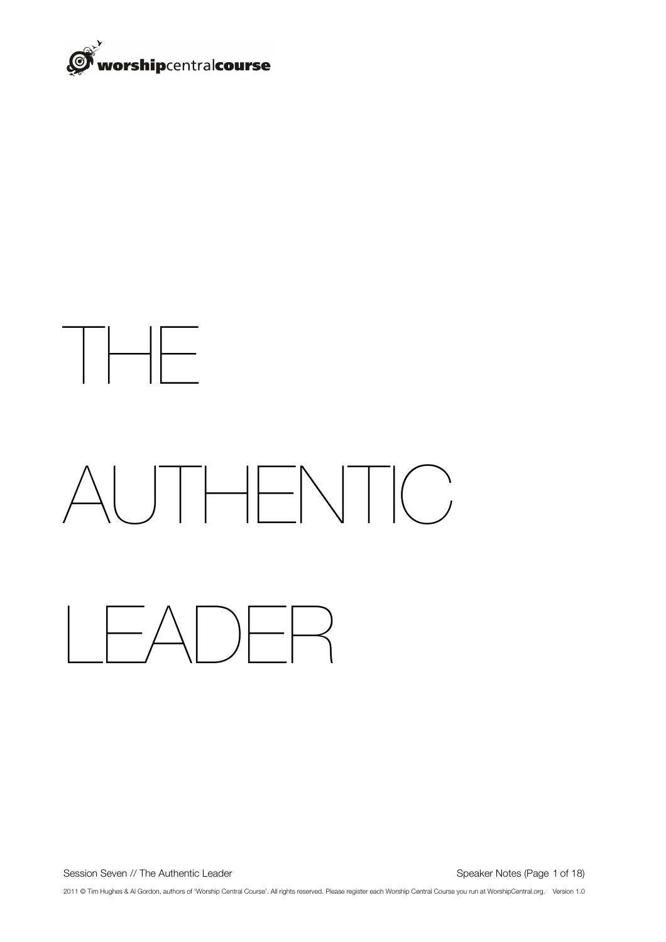

# THE AUTHENTIC LEADER

Session Seven // The Authentic Leader **Session Seven // The Authentic Leader** Authorities (Page 1 of 18)

2011 © Tim Hughes & Al Gordon, authors of 'Worship Central Course'. All rights reserved. Please register each Worship Central Course you run at WorshipCentral.org. Version 1.0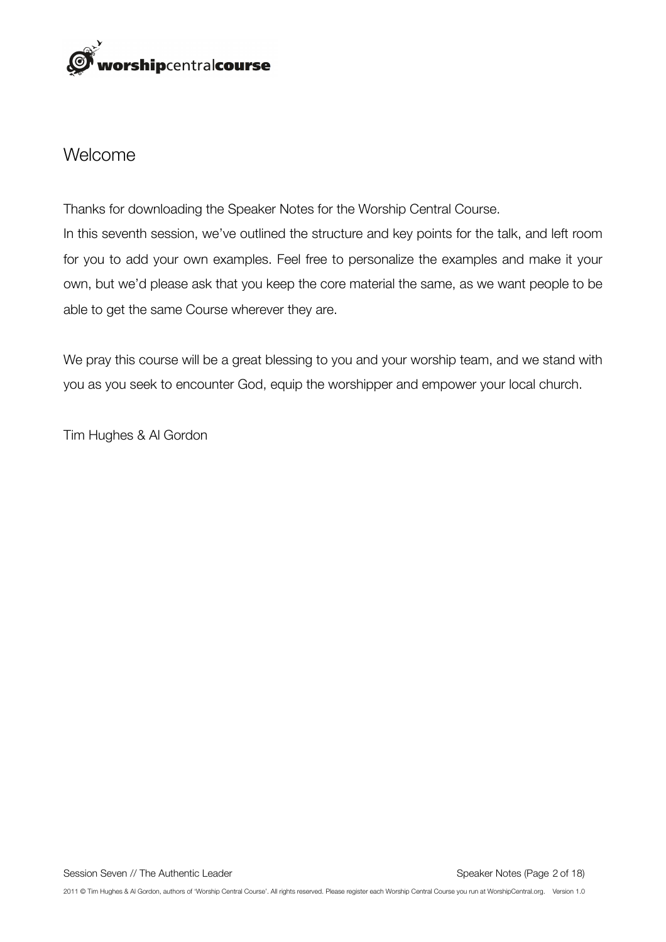

## Welcome

Thanks for downloading the Speaker Notes for the Worship Central Course. In this seventh session, we've outlined the structure and key points for the talk, and left room for you to add your own examples. Feel free to personalize the examples and make it your own, but we'd please ask that you keep the core material the same, as we want people to be able to get the same Course wherever they are.

We pray this course will be a great blessing to you and your worship team, and we stand with you as you seek to encounter God, equip the worshipper and empower your local church.

Tim Hughes & Al Gordon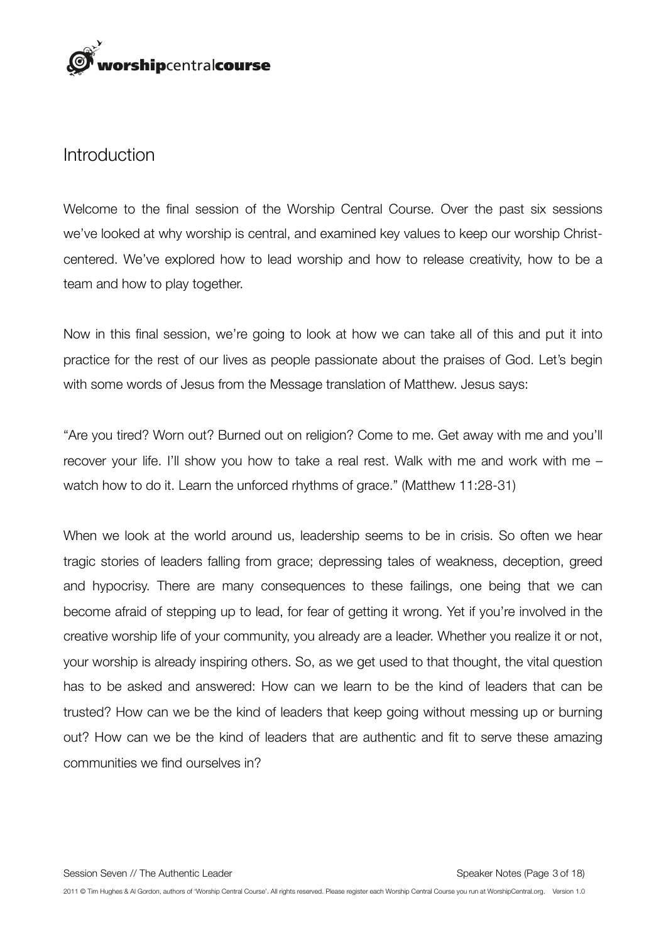

#### Introduction

Welcome to the final session of the Worship Central Course. Over the past six sessions we've looked at why worship is central, and examined key values to keep our worship Christcentered. We've explored how to lead worship and how to release creativity, how to be a team and how to play together.

Now in this final session, we're going to look at how we can take all of this and put it into practice for the rest of our lives as people passionate about the praises of God. Let's begin with some words of Jesus from the Message translation of Matthew. Jesus says:

"Are you tired? Worn out? Burned out on religion? Come to me. Get away with me and you'll recover your life. I'll show you how to take a real rest. Walk with me and work with me – watch how to do it. Learn the unforced rhythms of grace." (Matthew 11:28-31)

When we look at the world around us, leadership seems to be in crisis. So often we hear tragic stories of leaders falling from grace; depressing tales of weakness, deception, greed and hypocrisy. There are many consequences to these failings, one being that we can become afraid of stepping up to lead, for fear of getting it wrong. Yet if you're involved in the creative worship life of your community, you already are a leader. Whether you realize it or not, your worship is already inspiring others. So, as we get used to that thought, the vital question has to be asked and answered: How can we learn to be the kind of leaders that can be trusted? How can we be the kind of leaders that keep going without messing up or burning out? How can we be the kind of leaders that are authentic and fit to serve these amazing communities we find ourselves in?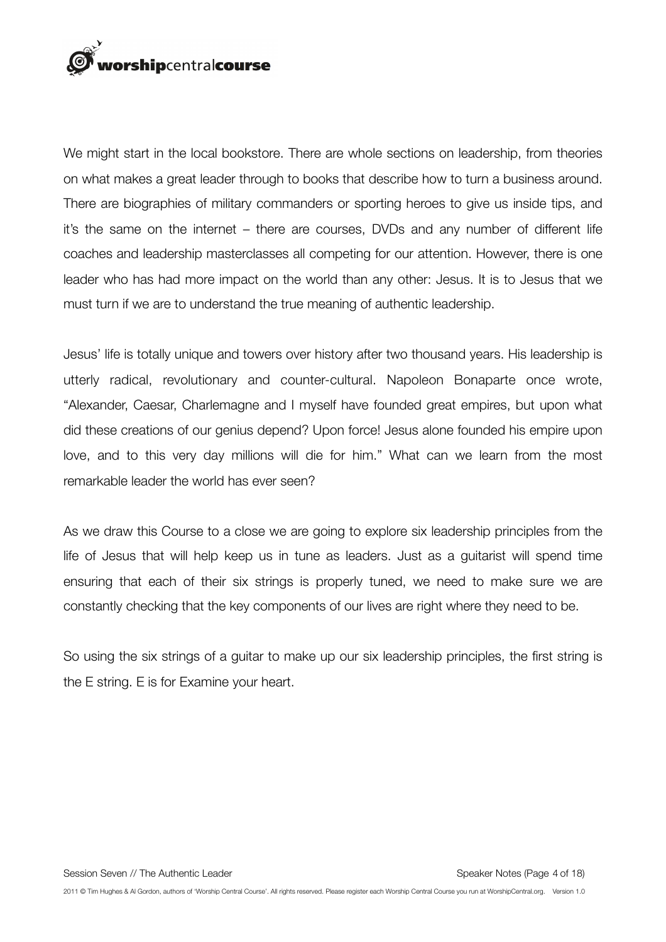

We might start in the local bookstore. There are whole sections on leadership, from theories on what makes a great leader through to books that describe how to turn a business around. There are biographies of military commanders or sporting heroes to give us inside tips, and it's the same on the internet – there are courses, DVDs and any number of different life coaches and leadership masterclasses all competing for our attention. However, there is one leader who has had more impact on the world than any other: Jesus. It is to Jesus that we must turn if we are to understand the true meaning of authentic leadership.

Jesus' life is totally unique and towers over history after two thousand years. His leadership is utterly radical, revolutionary and counter-cultural. Napoleon Bonaparte once wrote, "Alexander, Caesar, Charlemagne and I myself have founded great empires, but upon what did these creations of our genius depend? Upon force! Jesus alone founded his empire upon love, and to this very day millions will die for him." What can we learn from the most remarkable leader the world has ever seen?

As we draw this Course to a close we are going to explore six leadership principles from the life of Jesus that will help keep us in tune as leaders. Just as a guitarist will spend time ensuring that each of their six strings is properly tuned, we need to make sure we are constantly checking that the key components of our lives are right where they need to be.

So using the six strings of a guitar to make up our six leadership principles, the first string is the E string. E is for Examine your heart.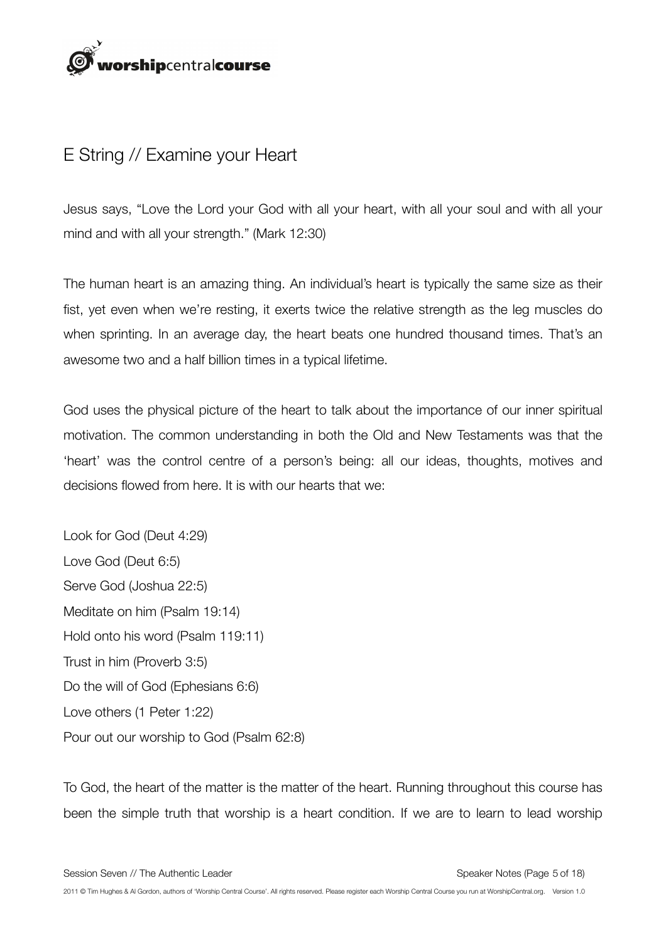

# E String // Examine your Heart

Jesus says, "Love the Lord your God with all your heart, with all your soul and with all your mind and with all your strength." (Mark 12:30)

The human heart is an amazing thing. An individual's heart is typically the same size as their fist, yet even when we're resting, it exerts twice the relative strength as the leg muscles do when sprinting. In an average day, the heart beats one hundred thousand times. That's an awesome two and a half billion times in a typical lifetime.

God uses the physical picture of the heart to talk about the importance of our inner spiritual motivation. The common understanding in both the Old and New Testaments was that the 'heart' was the control centre of a person's being: all our ideas, thoughts, motives and decisions flowed from here. It is with our hearts that we:

Look for God (Deut 4:29) Love God (Deut 6:5) Serve God (Joshua 22:5) Meditate on him (Psalm 19:14) Hold onto his word (Psalm 119:11) Trust in him (Proverb 3:5) Do the will of God (Ephesians 6:6) Love others (1 Peter 1:22) Pour out our worship to God (Psalm 62:8)

To God, the heart of the matter is the matter of the heart. Running throughout this course has been the simple truth that worship is a heart condition. If we are to learn to lead worship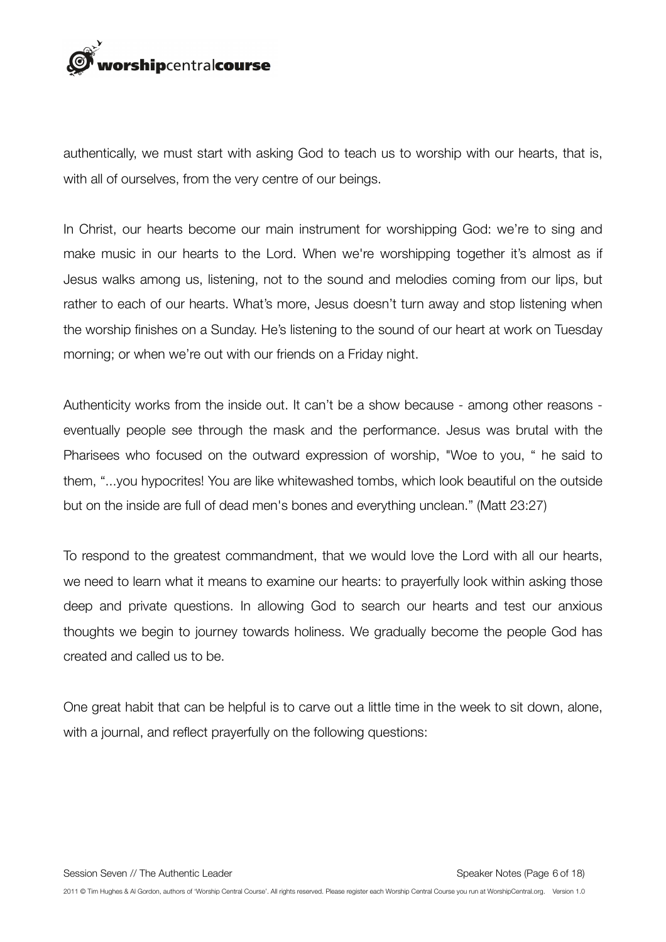

authentically, we must start with asking God to teach us to worship with our hearts, that is, with all of ourselves, from the very centre of our beings.

In Christ, our hearts become our main instrument for worshipping God: we're to sing and make music in our hearts to the Lord. When we're worshipping together it's almost as if Jesus walks among us, listening, not to the sound and melodies coming from our lips, but rather to each of our hearts. What's more, Jesus doesn't turn away and stop listening when the worship finishes on a Sunday. He's listening to the sound of our heart at work on Tuesday morning; or when we're out with our friends on a Friday night.

Authenticity works from the inside out. It can't be a show because - among other reasons eventually people see through the mask and the performance. Jesus was brutal with the Pharisees who focused on the outward expression of worship, "Woe to you, " he said to them, "...you hypocrites! You are like whitewashed tombs, which look beautiful on the outside but on the inside are full of dead men's bones and everything unclean." (Matt 23:27)

To respond to the greatest commandment, that we would love the Lord with all our hearts, we need to learn what it means to examine our hearts: to prayerfully look within asking those deep and private questions. In allowing God to search our hearts and test our anxious thoughts we begin to journey towards holiness. We gradually become the people God has created and called us to be.

One great habit that can be helpful is to carve out a little time in the week to sit down, alone, with a journal, and reflect prayerfully on the following questions: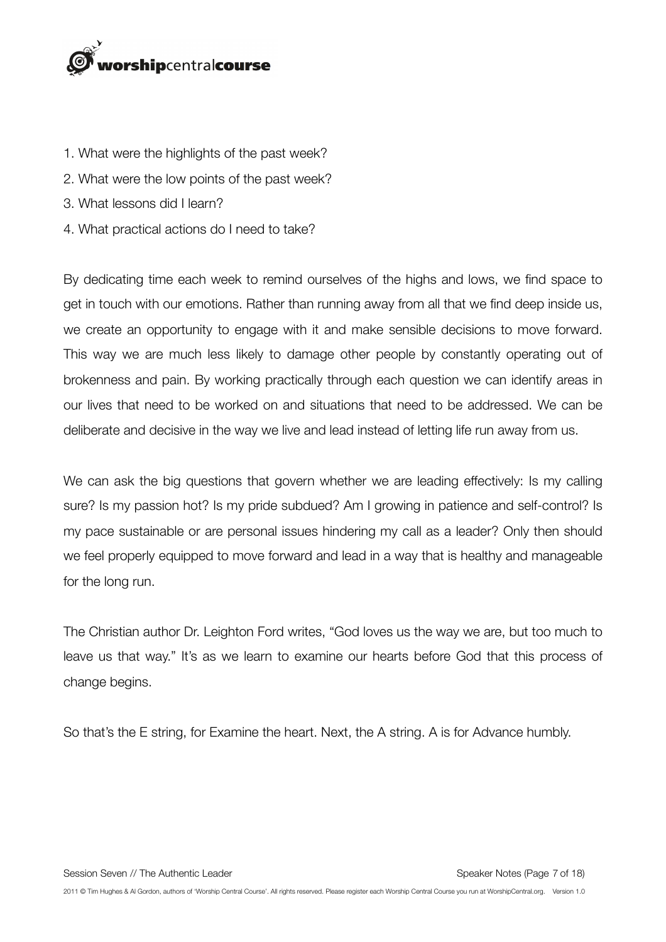# orshipcentralcourse

- 1. What were the highlights of the past week?
- 2. What were the low points of the past week?
- 3. What lessons did I learn?
- 4. What practical actions do I need to take?

By dedicating time each week to remind ourselves of the highs and lows, we find space to get in touch with our emotions. Rather than running away from all that we find deep inside us, we create an opportunity to engage with it and make sensible decisions to move forward. This way we are much less likely to damage other people by constantly operating out of brokenness and pain. By working practically through each question we can identify areas in our lives that need to be worked on and situations that need to be addressed. We can be deliberate and decisive in the way we live and lead instead of letting life run away from us.

We can ask the big questions that govern whether we are leading effectively: Is my calling sure? Is my passion hot? Is my pride subdued? Am I growing in patience and self-control? Is my pace sustainable or are personal issues hindering my call as a leader? Only then should we feel properly equipped to move forward and lead in a way that is healthy and manageable for the long run.

The Christian author Dr. Leighton Ford writes, "God loves us the way we are, but too much to leave us that way." It's as we learn to examine our hearts before God that this process of change begins.

So that's the E string, for Examine the heart. Next, the A string. A is for Advance humbly.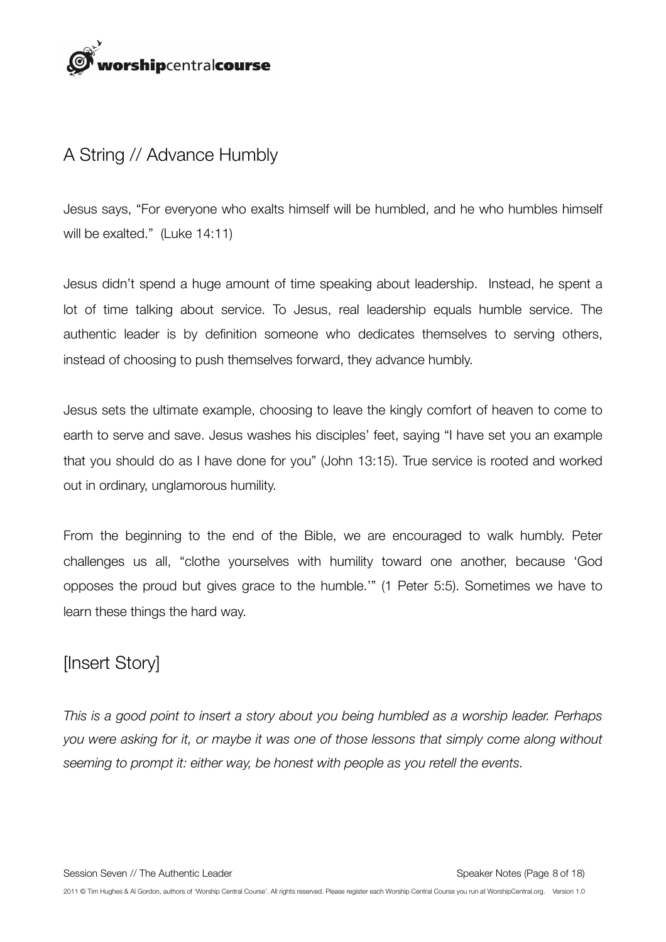# orshipcentralcourse

# A String // Advance Humbly

Jesus says, "For everyone who exalts himself will be humbled, and he who humbles himself will be exalted." (Luke 14:11)

Jesus didn't spend a huge amount of time speaking about leadership. Instead, he spent a lot of time talking about service. To Jesus, real leadership equals humble service. The authentic leader is by definition someone who dedicates themselves to serving others, instead of choosing to push themselves forward, they advance humbly.

Jesus sets the ultimate example, choosing to leave the kingly comfort of heaven to come to earth to serve and save. Jesus washes his disciples' feet, saying "I have set you an example that you should do as I have done for you" (John 13:15). True service is rooted and worked out in ordinary, unglamorous humility.

From the beginning to the end of the Bible, we are encouraged to walk humbly. Peter challenges us all, "clothe yourselves with humility toward one another, because 'God opposes the proud but gives grace to the humble.'" (1 Peter 5:5). Sometimes we have to learn these things the hard way.

# [Insert Story]

*This is a good point to insert a story about you being humbled as a worship leader. Perhaps you were asking for it, or maybe it was one of those lessons that simply come along without seeming to prompt it: either way, be honest with people as you retell the events.*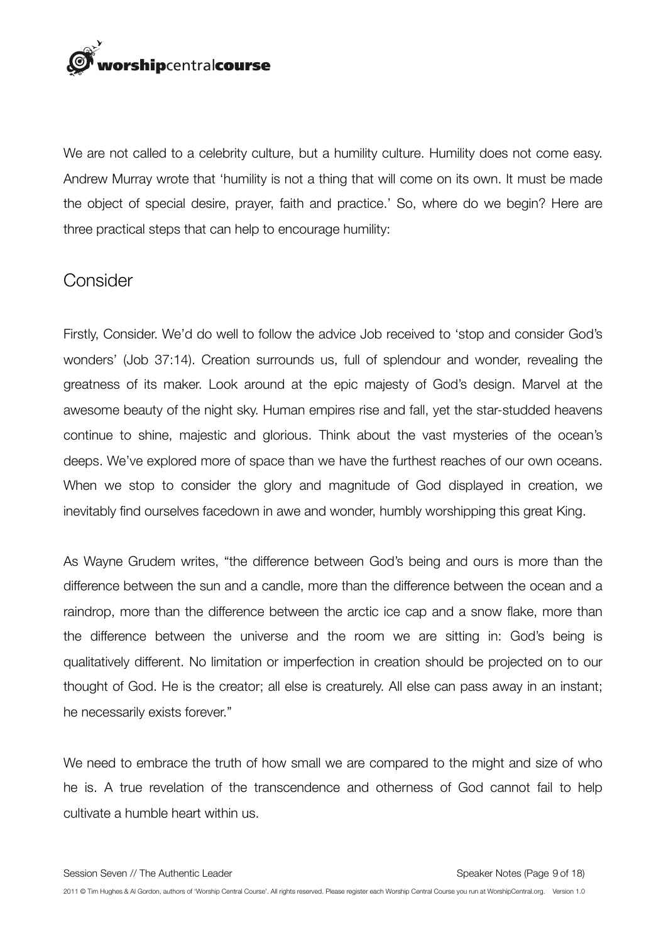

We are not called to a celebrity culture, but a humility culture. Humility does not come easy. Andrew Murray wrote that 'humility is not a thing that will come on its own. It must be made the object of special desire, prayer, faith and practice.' So, where do we begin? Here are three practical steps that can help to encourage humility:

#### **Consider**

Firstly, Consider. We'd do well to follow the advice Job received to 'stop and consider God's wonders' (Job 37:14). Creation surrounds us, full of splendour and wonder, revealing the greatness of its maker. Look around at the epic majesty of God's design. Marvel at the awesome beauty of the night sky. Human empires rise and fall, yet the star-studded heavens continue to shine, majestic and glorious. Think about the vast mysteries of the ocean's deeps. We've explored more of space than we have the furthest reaches of our own oceans. When we stop to consider the glory and magnitude of God displayed in creation, we inevitably find ourselves facedown in awe and wonder, humbly worshipping this great King.

As Wayne Grudem writes, "the difference between God's being and ours is more than the difference between the sun and a candle, more than the difference between the ocean and a raindrop, more than the difference between the arctic ice cap and a snow flake, more than the difference between the universe and the room we are sitting in: God's being is qualitatively different. No limitation or imperfection in creation should be projected on to our thought of God. He is the creator; all else is creaturely. All else can pass away in an instant; he necessarily exists forever."

We need to embrace the truth of how small we are compared to the might and size of who he is. A true revelation of the transcendence and otherness of God cannot fail to help cultivate a humble heart within us.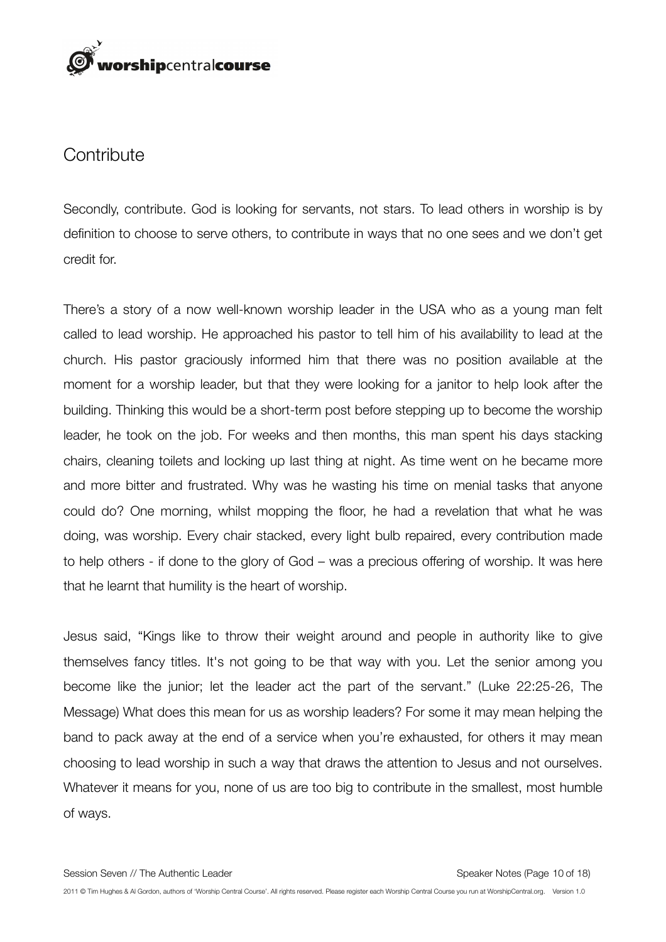# rorshipcentralcourse

#### **Contribute**

Secondly, contribute. God is looking for servants, not stars. To lead others in worship is by definition to choose to serve others, to contribute in ways that no one sees and we don't get credit for.

There's a story of a now well-known worship leader in the USA who as a young man felt called to lead worship. He approached his pastor to tell him of his availability to lead at the church. His pastor graciously informed him that there was no position available at the moment for a worship leader, but that they were looking for a janitor to help look after the building. Thinking this would be a short-term post before stepping up to become the worship leader, he took on the job. For weeks and then months, this man spent his days stacking chairs, cleaning toilets and locking up last thing at night. As time went on he became more and more bitter and frustrated. Why was he wasting his time on menial tasks that anyone could do? One morning, whilst mopping the floor, he had a revelation that what he was doing, was worship. Every chair stacked, every light bulb repaired, every contribution made to help others - if done to the glory of God – was a precious offering of worship. It was here that he learnt that humility is the heart of worship.

Jesus said, "Kings like to throw their weight around and people in authority like to give themselves fancy titles. It's not going to be that way with you. Let the senior among you become like the junior; let the leader act the part of the servant." (Luke 22:25-26, The Message) What does this mean for us as worship leaders? For some it may mean helping the band to pack away at the end of a service when you're exhausted, for others it may mean choosing to lead worship in such a way that draws the attention to Jesus and not ourselves. Whatever it means for you, none of us are too big to contribute in the smallest, most humble of ways.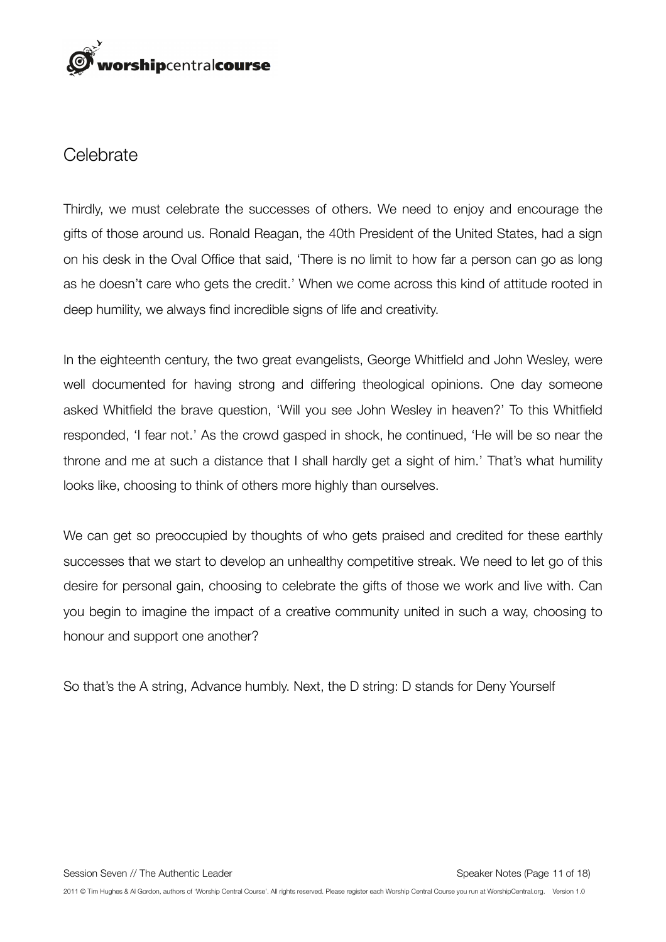

#### **Celebrate**

Thirdly, we must celebrate the successes of others. We need to enjoy and encourage the gifts of those around us. Ronald Reagan, the 40th President of the United States, had a sign on his desk in the Oval Office that said, 'There is no limit to how far a person can go as long as he doesn't care who gets the credit.' When we come across this kind of attitude rooted in deep humility, we always find incredible signs of life and creativity.

In the eighteenth century, the two great evangelists, George Whitfield and John Wesley, were well documented for having strong and differing theological opinions. One day someone asked Whitfield the brave question, 'Will you see John Wesley in heaven?' To this Whitfield responded, 'I fear not.' As the crowd gasped in shock, he continued, 'He will be so near the throne and me at such a distance that I shall hardly get a sight of him.' That's what humility looks like, choosing to think of others more highly than ourselves.

We can get so preoccupied by thoughts of who gets praised and credited for these earthly successes that we start to develop an unhealthy competitive streak. We need to let go of this desire for personal gain, choosing to celebrate the gifts of those we work and live with. Can you begin to imagine the impact of a creative community united in such a way, choosing to honour and support one another?

So that's the A string, Advance humbly. Next, the D string: D stands for Deny Yourself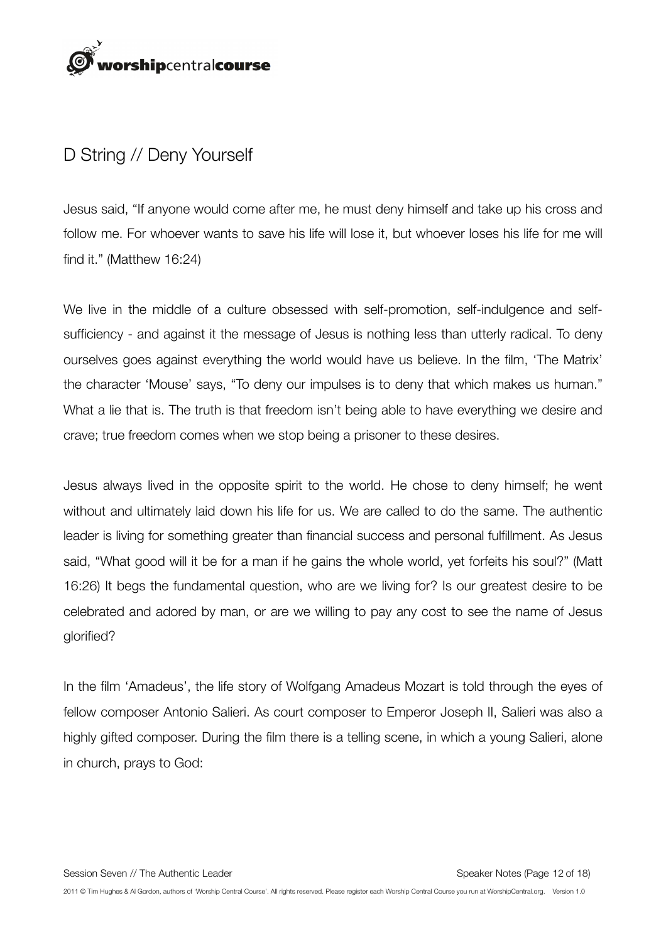

## D String // Deny Yourself

Jesus said, "If anyone would come after me, he must deny himself and take up his cross and follow me. For whoever wants to save his life will lose it, but whoever loses his life for me will find it." (Matthew 16:24)

We live in the middle of a culture obsessed with self-promotion, self-indulgence and selfsufficiency - and against it the message of Jesus is nothing less than utterly radical. To deny ourselves goes against everything the world would have us believe. In the film, 'The Matrix' the character 'Mouse' says, "To deny our impulses is to deny that which makes us human." What a lie that is. The truth is that freedom isn't being able to have everything we desire and crave; true freedom comes when we stop being a prisoner to these desires.

Jesus always lived in the opposite spirit to the world. He chose to deny himself; he went without and ultimately laid down his life for us. We are called to do the same. The authentic leader is living for something greater than financial success and personal fulfillment. As Jesus said, "What good will it be for a man if he gains the whole world, yet forfeits his soul?" (Matt 16:26) It begs the fundamental question, who are we living for? Is our greatest desire to be celebrated and adored by man, or are we willing to pay any cost to see the name of Jesus glorified?

In the film 'Amadeus', the life story of Wolfgang Amadeus Mozart is told through the eyes of fellow composer Antonio Salieri. As court composer to Emperor Joseph II, Salieri was also a highly gifted composer. During the film there is a telling scene, in which a young Salieri, alone in church, prays to God: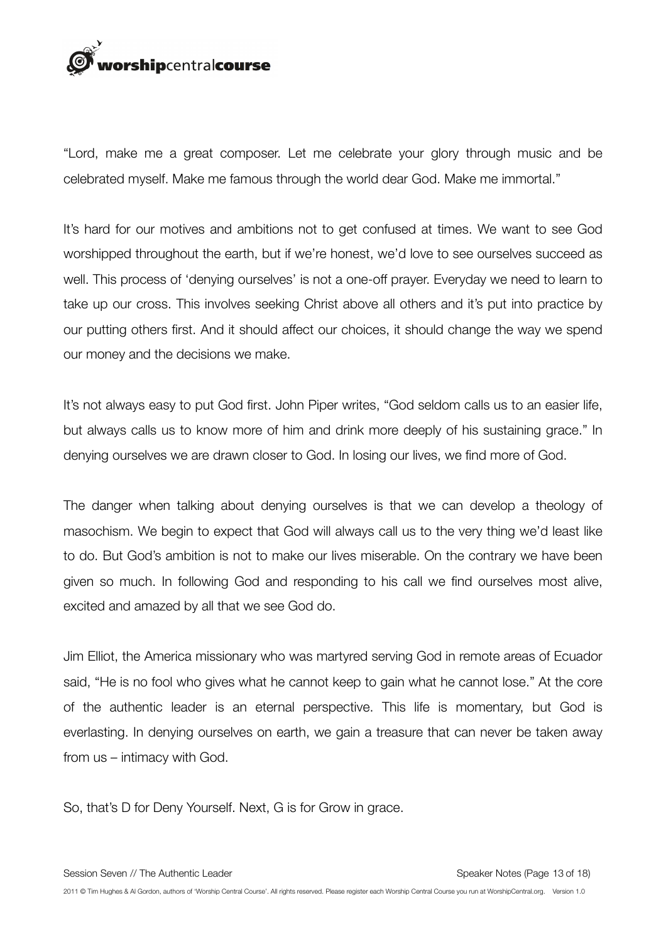

"Lord, make me a great composer. Let me celebrate your glory through music and be celebrated myself. Make me famous through the world dear God. Make me immortal."

It's hard for our motives and ambitions not to get confused at times. We want to see God worshipped throughout the earth, but if we're honest, we'd love to see ourselves succeed as well. This process of 'denying ourselves' is not a one-off prayer. Everyday we need to learn to take up our cross. This involves seeking Christ above all others and it's put into practice by our putting others first. And it should affect our choices, it should change the way we spend our money and the decisions we make.

It's not always easy to put God first. John Piper writes, "God seldom calls us to an easier life, but always calls us to know more of him and drink more deeply of his sustaining grace." In denying ourselves we are drawn closer to God. In losing our lives, we find more of God.

The danger when talking about denying ourselves is that we can develop a theology of masochism. We begin to expect that God will always call us to the very thing we'd least like to do. But God's ambition is not to make our lives miserable. On the contrary we have been given so much. In following God and responding to his call we find ourselves most alive, excited and amazed by all that we see God do.

Jim Elliot, the America missionary who was martyred serving God in remote areas of Ecuador said, "He is no fool who gives what he cannot keep to gain what he cannot lose." At the core of the authentic leader is an eternal perspective. This life is momentary, but God is everlasting. In denying ourselves on earth, we gain a treasure that can never be taken away from us – intimacy with God.

So, that's D for Deny Yourself. Next, G is for Grow in grace.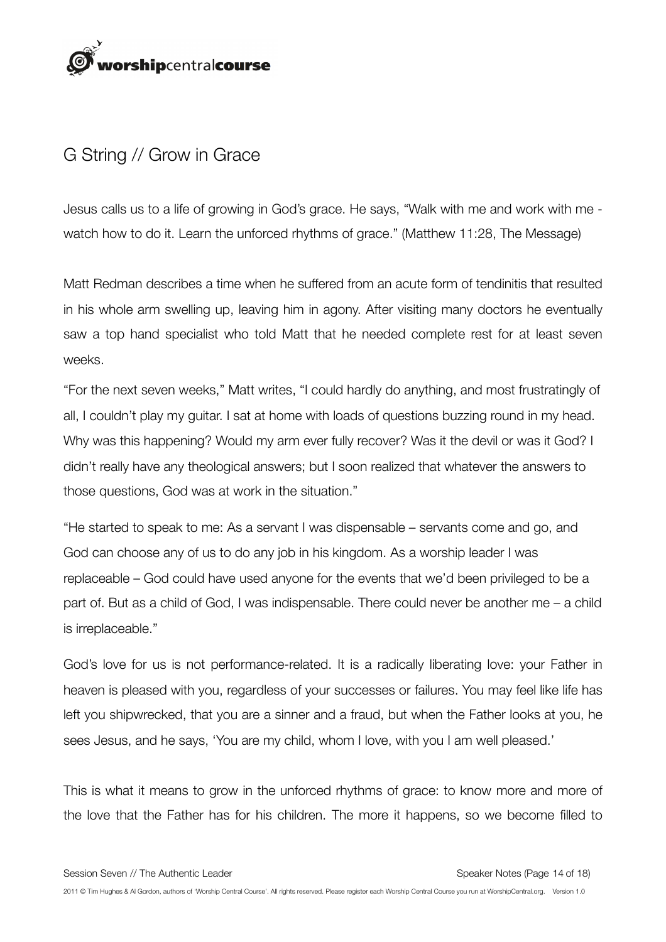

## G String // Grow in Grace

Jesus calls us to a life of growing in God's grace. He says, "Walk with me and work with me watch how to do it. Learn the unforced rhythms of grace." (Matthew 11:28, The Message)

Matt Redman describes a time when he suffered from an acute form of tendinitis that resulted in his whole arm swelling up, leaving him in agony. After visiting many doctors he eventually saw a top hand specialist who told Matt that he needed complete rest for at least seven weeks.

"For the next seven weeks," Matt writes, "I could hardly do anything, and most frustratingly of all, I couldn't play my guitar. I sat at home with loads of questions buzzing round in my head. Why was this happening? Would my arm ever fully recover? Was it the devil or was it God? I didn't really have any theological answers; but I soon realized that whatever the answers to those questions, God was at work in the situation."

"He started to speak to me: As a servant I was dispensable – servants come and go, and God can choose any of us to do any job in his kingdom. As a worship leader I was replaceable – God could have used anyone for the events that we'd been privileged to be a part of. But as a child of God, I was indispensable. There could never be another me – a child is irreplaceable."

God's love for us is not performance-related. It is a radically liberating love: your Father in heaven is pleased with you, regardless of your successes or failures. You may feel like life has left you shipwrecked, that you are a sinner and a fraud, but when the Father looks at you, he sees Jesus, and he says, 'You are my child, whom I love, with you I am well pleased.'

This is what it means to grow in the unforced rhythms of grace: to know more and more of the love that the Father has for his children. The more it happens, so we become filled to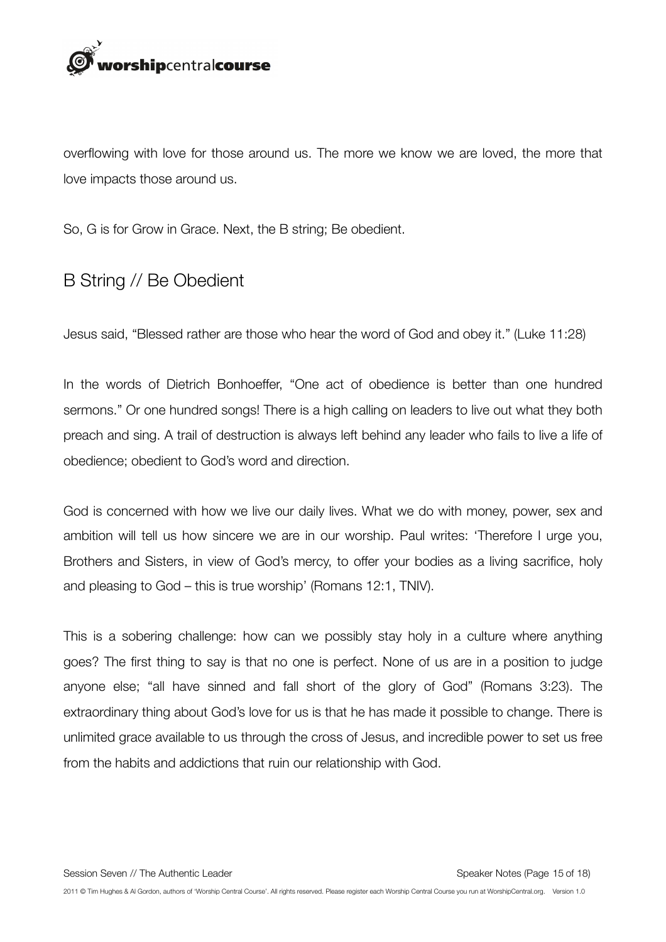

overflowing with love for those around us. The more we know we are loved, the more that love impacts those around us.

So, G is for Grow in Grace. Next, the B string; Be obedient.

## B String // Be Obedient

Jesus said, "Blessed rather are those who hear the word of God and obey it." (Luke 11:28)

In the words of Dietrich Bonhoeffer, "One act of obedience is better than one hundred sermons." Or one hundred songs! There is a high calling on leaders to live out what they both preach and sing. A trail of destruction is always left behind any leader who fails to live a life of obedience; obedient to God's word and direction.

God is concerned with how we live our daily lives. What we do with money, power, sex and ambition will tell us how sincere we are in our worship. Paul writes: 'Therefore I urge you, Brothers and Sisters, in view of God's mercy, to offer your bodies as a living sacrifice, holy and pleasing to God – this is true worship' (Romans 12:1, TNIV).

This is a sobering challenge: how can we possibly stay holy in a culture where anything goes? The first thing to say is that no one is perfect. None of us are in a position to judge anyone else; "all have sinned and fall short of the glory of God" (Romans 3:23). The extraordinary thing about God's love for us is that he has made it possible to change. There is unlimited grace available to us through the cross of Jesus, and incredible power to set us free from the habits and addictions that ruin our relationship with God.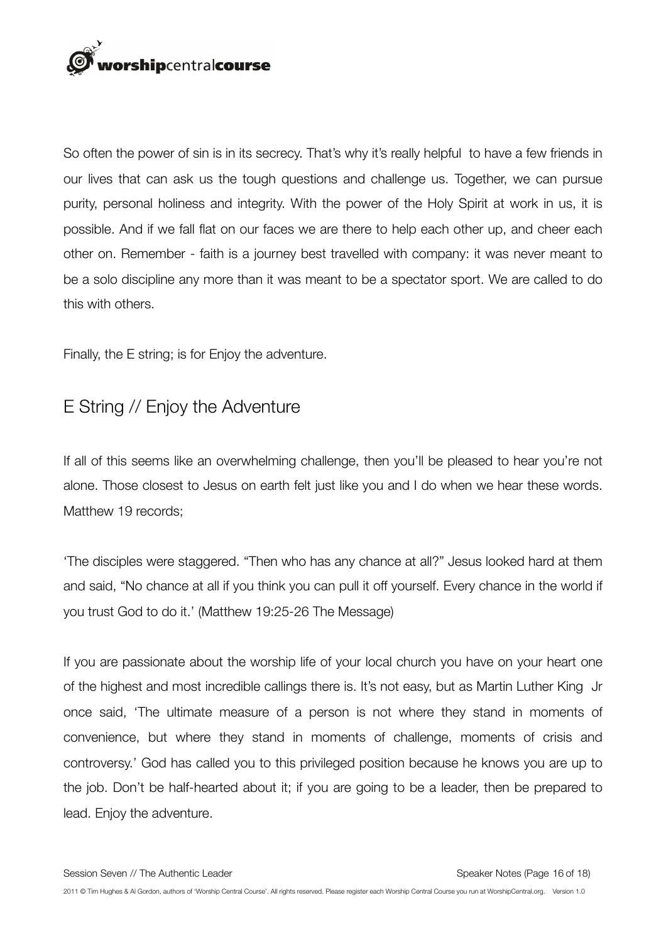

So often the power of sin is in its secrecy. That's why it's really helpful to have a few friends in our lives that can ask us the tough questions and challenge us. Together, we can pursue purity, personal holiness and integrity. With the power of the Holy Spirit at work in us, it is possible. And if we fall flat on our faces we are there to help each other up, and cheer each other on. Remember - faith is a journey best travelled with company: it was never meant to be a solo discipline any more than it was meant to be a spectator sport. We are called to do this with others.

Finally, the E string; is for Enjoy the adventure.

## E String // Enjoy the Adventure

If all of this seems like an overwhelming challenge, then you'll be pleased to hear you're not alone. Those closest to Jesus on earth felt just like you and I do when we hear these words. Matthew 19 records;

'The disciples were staggered. "Then who has any chance at all?" Jesus looked hard at them and said, "No chance at all if you think you can pull it off yourself. Every chance in the world if you trust God to do it.' (Matthew 19:25-26 The Message)

If you are passionate about the worship life of your local church you have on your heart one of the highest and most incredible callings there is. It's not easy, but as Martin Luther King Jr once said, 'The ultimate measure of a person is not where they stand in moments of convenience, but where they stand in moments of challenge, moments of crisis and controversy.' God has called you to this privileged position because he knows you are up to the job. Don't be half-hearted about it; if you are going to be a leader, then be prepared to lead. Enjoy the adventure.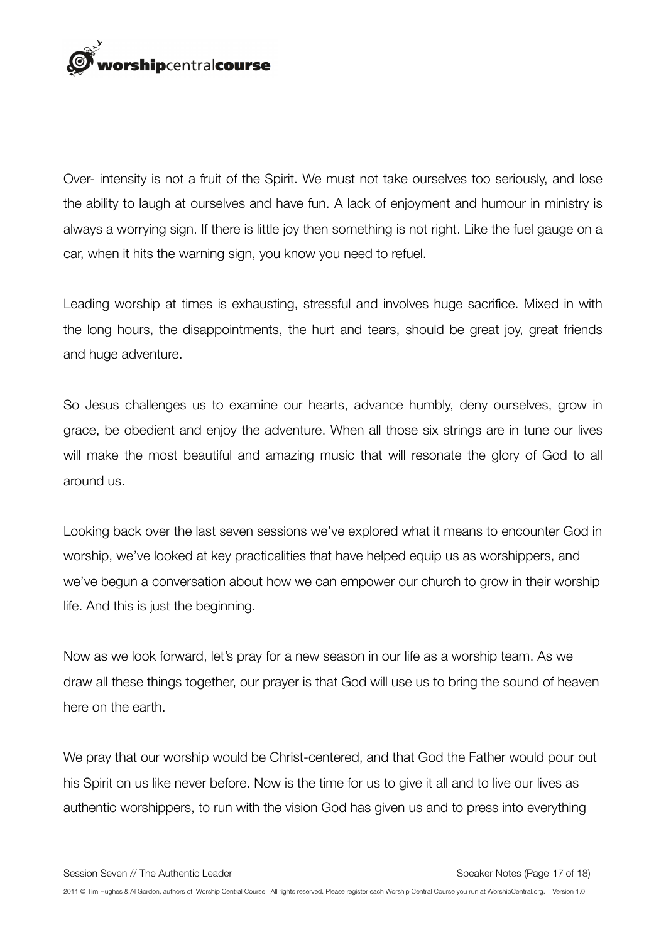

Over- intensity is not a fruit of the Spirit. We must not take ourselves too seriously, and lose the ability to laugh at ourselves and have fun. A lack of enjoyment and humour in ministry is always a worrying sign. If there is little joy then something is not right. Like the fuel gauge on a car, when it hits the warning sign, you know you need to refuel.

Leading worship at times is exhausting, stressful and involves huge sacrifice. Mixed in with the long hours, the disappointments, the hurt and tears, should be great joy, great friends and huge adventure.

So Jesus challenges us to examine our hearts, advance humbly, deny ourselves, grow in grace, be obedient and enjoy the adventure. When all those six strings are in tune our lives will make the most beautiful and amazing music that will resonate the glory of God to all around us.

Looking back over the last seven sessions we've explored what it means to encounter God in worship, we've looked at key practicalities that have helped equip us as worshippers, and we've begun a conversation about how we can empower our church to grow in their worship life. And this is just the beginning.

Now as we look forward, let's pray for a new season in our life as a worship team. As we draw all these things together, our prayer is that God will use us to bring the sound of heaven here on the earth.

We pray that our worship would be Christ-centered, and that God the Father would pour out his Spirit on us like never before. Now is the time for us to give it all and to live our lives as authentic worshippers, to run with the vision God has given us and to press into everything